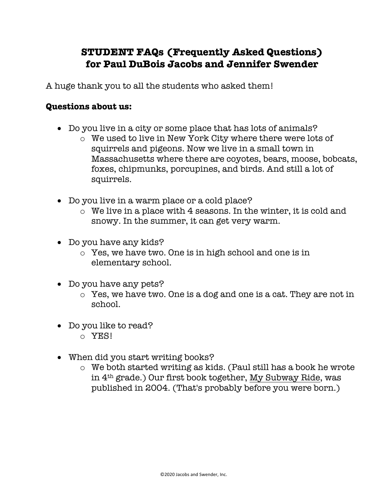## **STUDENT FAQs (Frequently Asked Questions) for Paul DuBois Jacobs and Jennifer Swender**

A huge thank you to all the students who asked them!

## **Questions about us:**

- Do you live in a city or some place that has lots of animals?
	- o We used to live in New York City where there were lots of squirrels and pigeons. Now we live in a small town in Massachusetts where there are coyotes, bears, moose, bobcats, foxes, chipmunks, porcupines, and birds. And still a lot of squirrels.
- Do you live in a warm place or a cold place?
	- o We live in a place with 4 seasons. In the winter, it is cold and snowy. In the summer, it can get very warm.
- Do you have any kids?
	- o Yes, we have two. One is in high school and one is in elementary school.
- Do you have any pets?
	- o Yes, we have two. One is a dog and one is a cat. They are not in school.
- Do you like to read? o YES!
	-
- When did you start writing books?
	- o We both started writing as kids. (Paul still has a book he wrote in 4th grade.) Our first book together, My Subway Ride, was published in 2004. (That's probably before you were born.)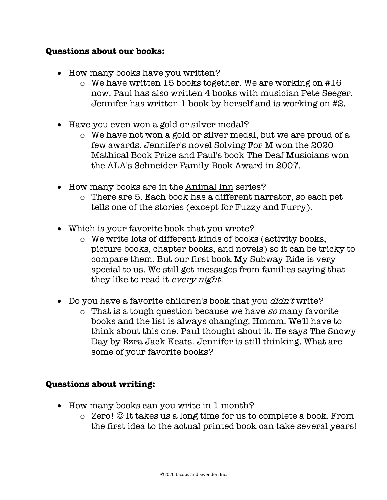## **Questions about our books:**

- How many books have you written?
	- o We have written 15 books together. We are working on #16 now. Paul has also written 4 books with musician Pete Seeger. Jennifer has written 1 book by herself and is working on #2.
- Have you even won a gold or silver medal?
	- o We have not won a gold or silver medal, but we are proud of a few awards. Jennifer's novel Solving For M won the 2020 Mathical Book Prize and Paul's book The Deaf Musicians won the ALA's Schneider Family Book Award in 2007.
- How many books are in the Animal Inn series?
	- o There are 5. Each book has a different narrator, so each pet tells one of the stories (except for Fuzzy and Furry).
- Which is your favorite book that you wrote?
	- o We write lots of different kinds of books (activity books, picture books, chapter books, and novels) so it can be tricky to compare them. But our first book My Subway Ride is very special to us. We still get messages from families saying that they like to read it every night!
- Do you have a favorite children's book that you *didn't* write?
	- $\circ$  That is a tough question because we have so many favorite books and the list is always changing. Hmmm. We'll have to think about this one. Paul thought about it. He says The Snowy Day by Ezra Jack Keats. Jennifer is still thinking. What are some of your favorite books?

## **Questions about writing:**

- How many books can you write in 1 month?
	- $\circ$  Zero!  $\odot$  It takes us a long time for us to complete a book. From the first idea to the actual printed book can take several years!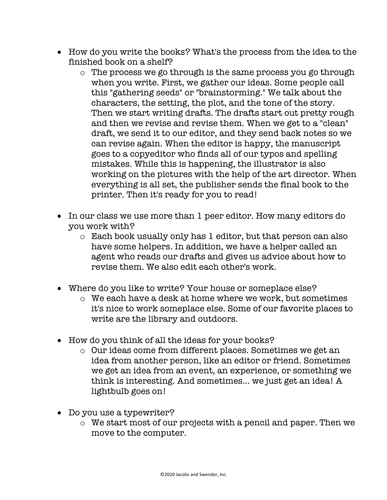- How do you write the books? What's the process from the idea to the finished book on a shelf?
	- o The process we go through is the same process you go through when you write. First, we gather our ideas. Some people call this "gathering seeds" or "brainstorming." We talk about the characters, the setting, the plot, and the tone of the story. Then we start writing drafts. The drafts start out pretty rough and then we revise and revise them. When we get to a "clean" draft, we send it to our editor, and they send back notes so we can revise again. When the editor is happy, the manuscript goes to a copyeditor who finds all of our typos and spelling mistakes. While this is happening, the illustrator is also working on the pictures with the help of the art director. When everything is all set, the publisher sends the final book to the printer. Then it's ready for you to read!
- In our class we use more than 1 peer editor. How many editors do you work with?
	- o Each book usually only has 1 editor, but that person can also have some helpers. In addition, we have a helper called an agent who reads our drafts and gives us advice about how to revise them. We also edit each other's work.
- Where do you like to write? Your house or someplace else?
	- o We each have a desk at home where we work, but sometimes it's nice to work someplace else. Some of our favorite places to write are the library and outdoors.
- How do you think of all the ideas for your books?
	- o Our ideas come from different places. Sometimes we get an idea from another person, like an editor or friend. Sometimes we get an idea from an event, an experience, or something we think is interesting. And sometimes… we just get an idea! A lightbulb goes on!
- Do you use a typewriter?
	- o We start most of our projects with a pencil and paper. Then we move to the computer.